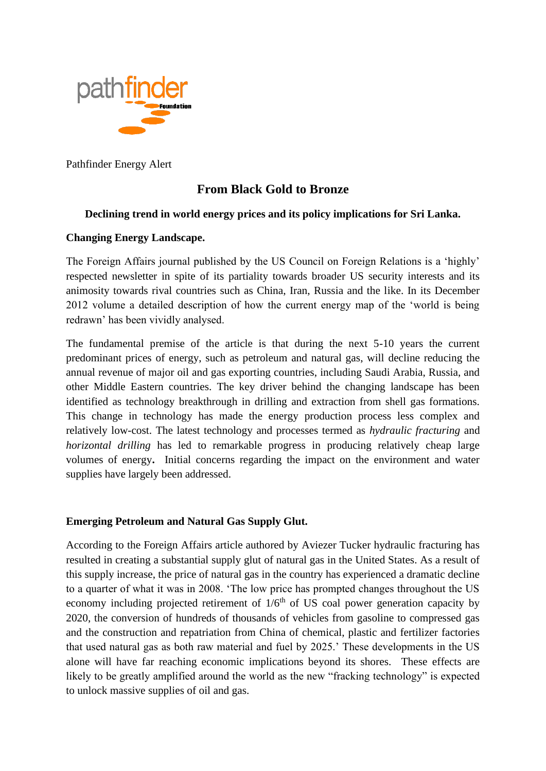

Pathfinder Energy Alert

# **From Black Gold to Bronze**

## **Declining trend in world energy prices and its policy implications for Sri Lanka.**

## **Changing Energy Landscape.**

The Foreign Affairs journal published by the US Council on Foreign Relations is a 'highly' respected newsletter in spite of its partiality towards broader US security interests and its animosity towards rival countries such as China, Iran, Russia and the like. In its December 2012 volume a detailed description of how the current energy map of the 'world is being redrawn' has been vividly analysed.

The fundamental premise of the article is that during the next 5-10 years the current predominant prices of energy, such as petroleum and natural gas, will decline reducing the annual revenue of major oil and gas exporting countries, including Saudi Arabia, Russia, and other Middle Eastern countries. The key driver behind the changing landscape has been identified as technology breakthrough in drilling and extraction from shell gas formations. This change in technology has made the energy production process less complex and relatively low-cost. The latest technology and processes termed as *hydraulic fracturing* and *horizontal drilling* has led to remarkable progress in producing relatively cheap large volumes of energy**.** Initial concerns regarding the impact on the environment and water supplies have largely been addressed.

#### **Emerging Petroleum and Natural Gas Supply Glut.**

According to the Foreign Affairs article authored by [Aviezer Tucker](http://www.foreignaffairs.com/author/aviezer-tucker) hydraulic fracturing has resulted in creating a substantial supply glut of natural gas in the United States. As a result of this supply increase, the price of natural gas in the country has experienced a dramatic decline to a quarter of what it was in 2008. 'The low price has prompted changes throughout the US economy including projected retirement of  $1/6<sup>th</sup>$  of US coal power generation capacity by 2020, the conversion of hundreds of thousands of vehicles from gasoline to compressed gas and the construction and repatriation from China of chemical, plastic and fertilizer factories that used natural gas as both raw material and fuel by 2025.' These developments in the US alone will have far reaching economic implications beyond its shores. These effects are likely to be greatly amplified around the world as the new "fracking technology" is expected to unlock massive supplies of oil and gas.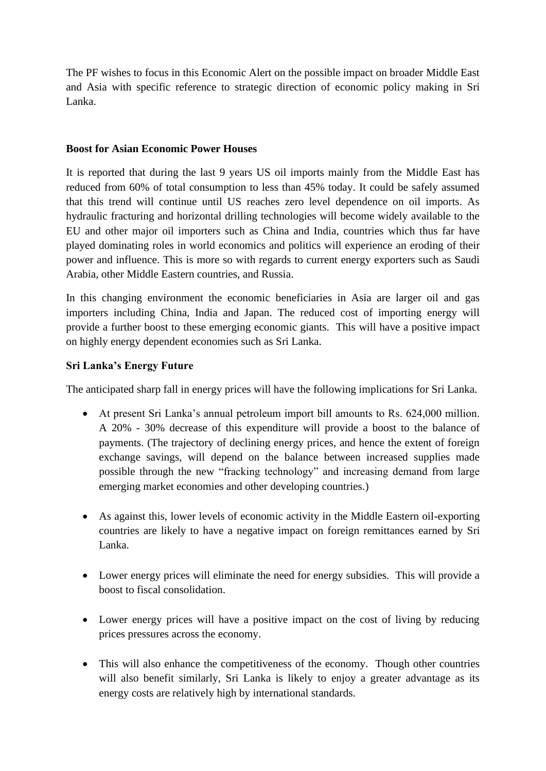The PF wishes to focus in this Economic Alert on the possible impact on broader Middle East and Asia with specific reference to strategic direction of economic policy making in Sri Lanka.

#### **Boost for Asian Economic Power Houses**

It is reported that during the last 9 years US oil imports mainly from the Middle East has reduced from 60% of total consumption to less than 45% today. It could be safely assumed that this trend will continue until US reaches zero level dependence on oil imports. As hydraulic fracturing and horizontal drilling technologies will become widely available to the EU and other major oil importers such as China and India, countries which thus far have played dominating roles in world economics and politics will experience an eroding of their power and influence. This is more so with regards to current energy exporters such as Saudi Arabia, other Middle Eastern countries, and Russia.

In this changing environment the economic beneficiaries in Asia are larger oil and gas importers including China, India and Japan. The reduced cost of importing energy will provide a further boost to these emerging economic giants. This will have a positive impact on highly energy dependent economies such as Sri Lanka.

#### **Sri Lanka's Energy Future**

The anticipated sharp fall in energy prices will have the following implications for Sri Lanka.

- At present Sri Lanka's annual petroleum import bill amounts to Rs. 624,000 million. A 20% - 30% decrease of this expenditure will provide a boost to the balance of payments. (The trajectory of declining energy prices, and hence the extent of foreign exchange savings, will depend on the balance between increased supplies made possible through the new "fracking technology" and increasing demand from large emerging market economies and other developing countries.)
- As against this, lower levels of economic activity in the Middle Eastern oil-exporting countries are likely to have a negative impact on foreign remittances earned by Sri Lanka.
- Lower energy prices will eliminate the need for energy subsidies. This will provide a boost to fiscal consolidation.
- Lower energy prices will have a positive impact on the cost of living by reducing prices pressures across the economy.
- This will also enhance the competitiveness of the economy. Though other countries will also benefit similarly, Sri Lanka is likely to enjoy a greater advantage as its energy costs are relatively high by international standards.